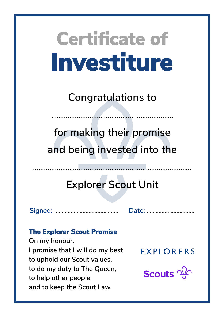**Congratulations to**

……………………………………………….…………

**for making their promise and being invested into the**

## **Explorer Scout Unit**

……………………………………...……………………………………

**Signed:** ……………...……………………. **Date:** …………………....…….

### **The Explorer Scout Promise**

**On my honour, I promise that I will do my best to uphold our Scout values, to do my duty to The Queen, to help other people and to keep the Scout Law.**

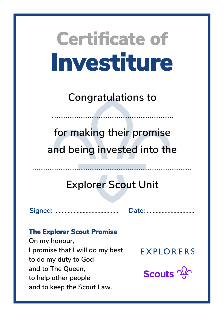**Congratulations to**

……………………………………………….…………

**for making their promise and being invested into the**

## **Explorer Scout Unit**

**Signed:** ……………...……………………. **Date:** …………………....…….

### **The Explorer Scout Promise**

**On my honour, I promise that I will do my best to do my duty to God and to The Queen, to help other people and to keep the Scout Law.**

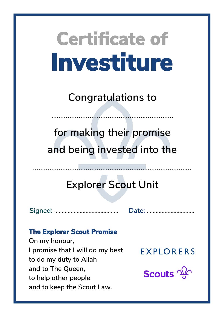**Congratulations to**

……………………………………………….…………

**for making their promise and being invested into the**

## **Explorer Scout Unit**

**Signed:** ……………...……………………. **Date:** …………………....…….

### **The Explorer Scout Promise**

**On my honour, I promise that I will do my best to do my duty to Allah and to The Queen, to help other people and to keep the Scout Law.**

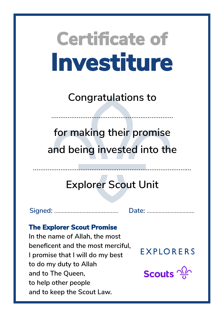**Congratulations to**

……………………………………………….…………

**for making their promise and being invested into the**

## **Explorer Scout Unit**

**Signed:** ……………...……………………. **Date:** …………………....…….

#### **The Explorer Scout Promise**

**In the name of Allah, the most beneficent and the most merciful, I promise that I will do my best to do my duty to Allah and to The Queen, to help other people and to keep the Scout Law.**

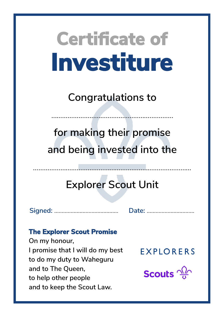**Congratulations to**

……………………………………………….…………

**for making their promise and being invested into the**

## **Explorer Scout Unit**

……………………………………...……………………………………

**Signed:** ……………...……………………. **Date:** …………………....…….

### **The Explorer Scout Promise**

**On my honour, I promise that I will do my best to do my duty to Waheguru and to The Queen, to help other people and to keep the Scout Law.**

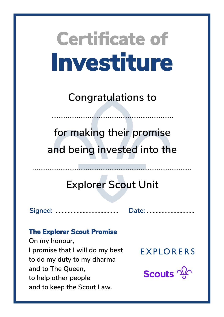**Congratulations to**

……………………………………………….…………

**for making their promise and being invested into the**

## **Explorer Scout Unit**

**Signed:** ……………...……………………. **Date:** …………………....…….

### **The Explorer Scout Promise**

**On my honour, I promise that I will do my best to do my duty to my dharma and to The Queen, to help other people and to keep the Scout Law.**